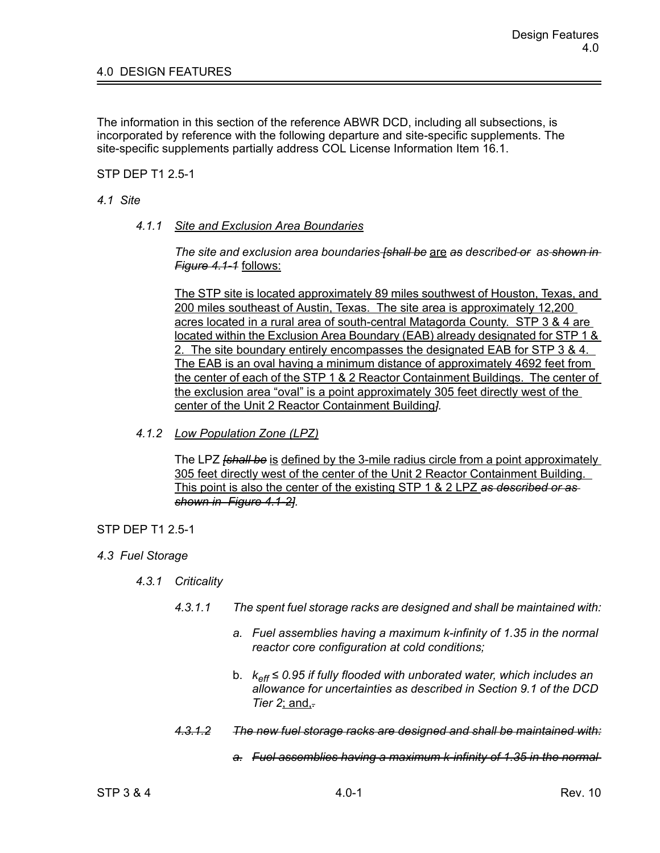The information in this section of the reference ABWR DCD, including all subsections, is incorporated by reference with the following departure and site-specific supplements. The site-specific supplements partially address COL License Information Item 16.1.

STP DEP T1 2.5-1

## *4.1 Site*

*4.1.1 Site and Exclusion Area Boundaries*

*The site and exclusion area boundaries [shall be* are *as described or as shown in Figure 4.1-1* follows:

The STP site is located approximately 89 miles southwest of Houston, Texas, and 200 miles southeast of Austin, Texas. The site area is approximately 12,200 acres located in a rural area of south-central Matagorda County. STP 3 & 4 are located within the Exclusion Area Boundary (EAB) already designated for STP 1 & 2. The site boundary entirely encompasses the designated EAB for STP 3 & 4. The EAB is an oval having a minimum distance of approximately 4692 feet from the center of each of the STP 1 & 2 Reactor Containment Buildings. The center of the exclusion area "oval" is a point approximately 305 feet directly west of the center of the Unit 2 Reactor Containment Building*].*

*4.1.2 Low Population Zone (LPZ)*

The LPZ *[shall be* is defined by the 3-mile radius circle from a point approximately 305 feet directly west of the center of the Unit 2 Reactor Containment Building. This point is also the center of the existing STP 1 & 2 LPZ *as described or as shown in Figure 4.1-2].*

## STP DEP T1 2.5-1

- *4.3 Fuel Storage*
	- *4.3.1 Criticality*
		- *4.3.1.1 The spent fuel storage racks are designed and shall be maintained with:*
			- *a. Fuel assemblies having a maximum k-infinity of 1.35 in the normal reactor core configuration at cold conditions;*
			- b. *keff ≤ 0.95 if fully flooded with unborated water, which includes an allowance for uncertainties as described in Section 9.1 of the DCD Tier 2*; and,*.*
		- *4.3.1.2 The new fuel storage racks are designed and shall be maintained with:*
			- *a. Fuel assemblies having a maximum k-infinity of 1.35 in the normal*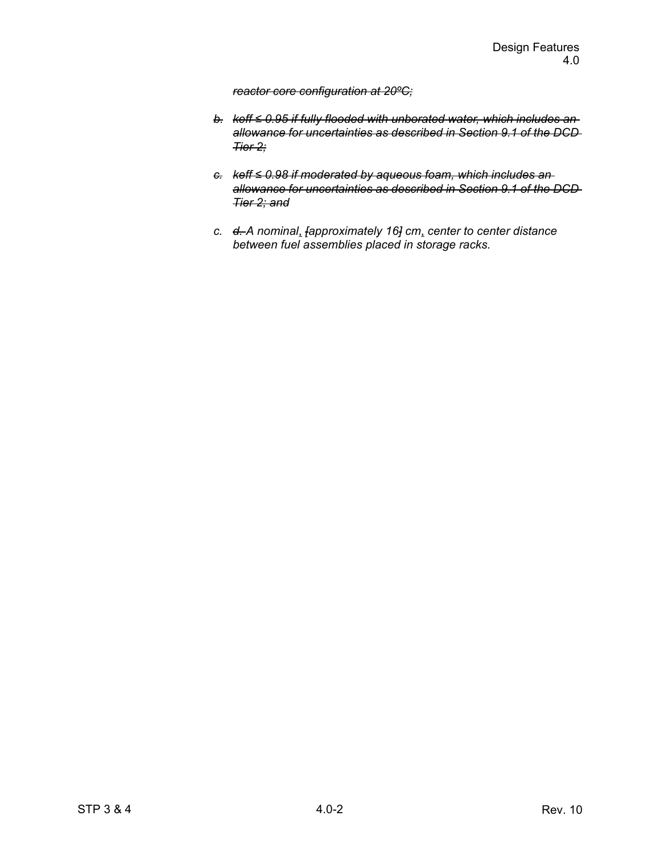## *reactor core configuration at 20ºC;*

- *b. keff ≤ 0.95 if fully flooded with unborated water, which includes an allowance for uncertainties as described in Section 9.1 of the DCD Tier 2;*
- *c. keff ≤ 0.98 if moderated by aqueous foam, which includes an allowance for uncertainties as described in Section 9.1 of the DCD Tier 2; and*
- *c. d. A nominal*, *[approximately 16] cm*, *center to center distance between fuel assemblies placed in storage racks.*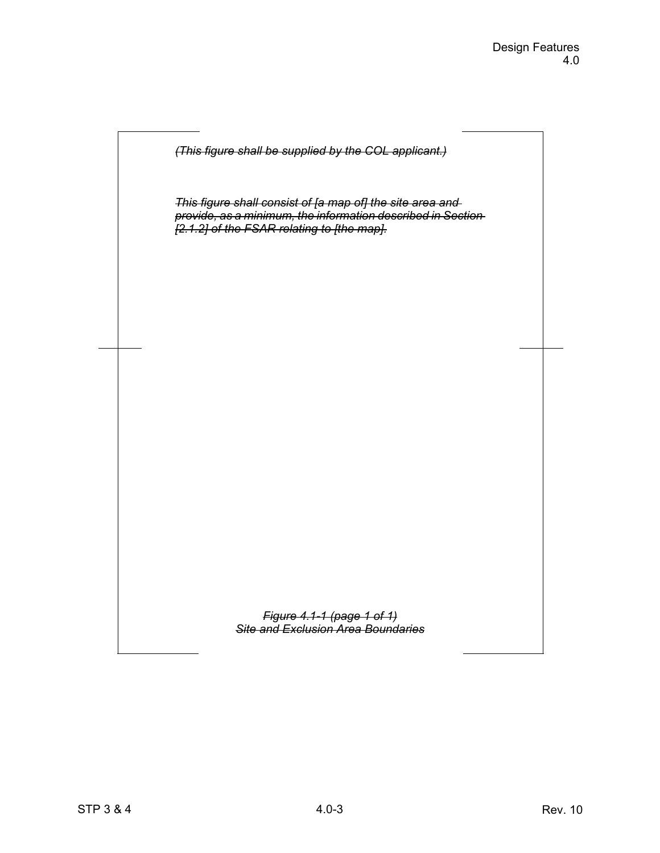

*This figure shall consist of [a map of] the site area and provide, as a minimum, the information described in Section [2.1.2] of the FSAR relating to [the map].*

> *Figure 4.1-1 (page 1 of 1) Site and Exclusion Area Boundaries*